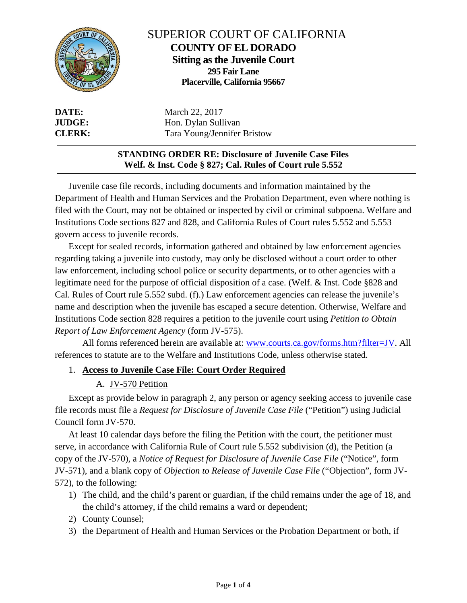

# SUPERIOR COURT OF CALIFORNIA **COUNTY OF EL DORADO Sitting as the Juvenile Court 295 Fair Lane Placerville, California 95667**

**DATE:** March 22, 2017 **JUDGE:** Hon. Dylan Sullivan **CLERK:** Tara Young/Jennifer Bristow

## **STANDING ORDER RE: Disclosure of Juvenile Case Files Welf. & Inst. Code § 827; Cal. Rules of Court rule 5.552**

Juvenile case file records, including documents and information maintained by the Department of Health and Human Services and the Probation Department, even where nothing is filed with the Court, may not be obtained or inspected by civil or criminal subpoena. Welfare and Institutions Code sections 827 and 828, and California Rules of Court rules 5.552 and 5.553 govern access to juvenile records.

Except for sealed records, information gathered and obtained by law enforcement agencies regarding taking a juvenile into custody, may only be disclosed without a court order to other law enforcement, including school police or security departments, or to other agencies with a legitimate need for the purpose of official disposition of a case. (Welf. & Inst. Code §828 and Cal. Rules of Court rule 5.552 subd. (f).) Law enforcement agencies can release the juvenile's name and description when the juvenile has escaped a secure detention. Otherwise, Welfare and Institutions Code section 828 requires a petition to the juvenile court using *Petition to Obtain Report of Law Enforcement Agency* (form JV-575).

All forms referenced herein are available at: [www.courts.ca.gov/forms.htm?filter=JV.](http://www.courts.ca.gov/forms.htm?filter=JV) All references to statute are to the Welfare and Institutions Code, unless otherwise stated.

## 1. **Access to Juvenile Case File: Court Order Required**

## A. JV-570 Petition

Except as provide below in paragraph 2, any person or agency seeking access to juvenile case file records must file a *Request for Disclosure of Juvenile Case File* ("Petition") using Judicial Council form JV-570.

At least 10 calendar days before the filing the Petition with the court, the petitioner must serve, in accordance with California Rule of Court rule 5.552 subdivision (d), the Petition (a copy of the JV-570), a *Notice of Request for Disclosure of Juvenile Case File* ("Notice", form JV-571), and a blank copy of *Objection to Release of Juvenile Case File* ("Objection", form JV-572), to the following:

- 1) The child, and the child's parent or guardian, if the child remains under the age of 18, and the child's attorney, if the child remains a ward or dependent;
- 2) County Counsel;
- 3) the Department of Health and Human Services or the Probation Department or both, if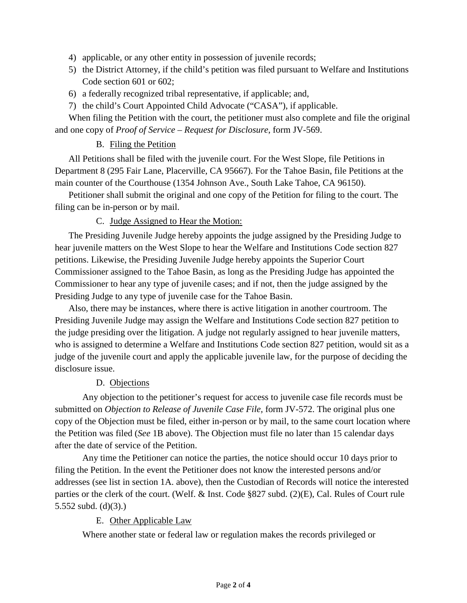- 4) applicable, or any other entity in possession of juvenile records;
- 5) the District Attorney, if the child's petition was filed pursuant to Welfare and Institutions Code section 601 or 602;
- 6) a federally recognized tribal representative, if applicable; and,
- 7) the child's Court Appointed Child Advocate ("CASA"), if applicable.

When filing the Petition with the court, the petitioner must also complete and file the original and one copy of *Proof of Service – Request for Disclosure*, form JV-569.

### B. Filing the Petition

All Petitions shall be filed with the juvenile court. For the West Slope, file Petitions in Department 8 (295 Fair Lane, Placerville, CA 95667). For the Tahoe Basin, file Petitions at the main counter of the Courthouse (1354 Johnson Ave., South Lake Tahoe, CA 96150).

Petitioner shall submit the original and one copy of the Petition for filing to the court. The filing can be in-person or by mail.

#### C. Judge Assigned to Hear the Motion:

The Presiding Juvenile Judge hereby appoints the judge assigned by the Presiding Judge to hear juvenile matters on the West Slope to hear the Welfare and Institutions Code section 827 petitions. Likewise, the Presiding Juvenile Judge hereby appoints the Superior Court Commissioner assigned to the Tahoe Basin, as long as the Presiding Judge has appointed the Commissioner to hear any type of juvenile cases; and if not, then the judge assigned by the Presiding Judge to any type of juvenile case for the Tahoe Basin.

Also, there may be instances, where there is active litigation in another courtroom. The Presiding Juvenile Judge may assign the Welfare and Institutions Code section 827 petition to the judge presiding over the litigation. A judge not regularly assigned to hear juvenile matters, who is assigned to determine a Welfare and Institutions Code section 827 petition, would sit as a judge of the juvenile court and apply the applicable juvenile law, for the purpose of deciding the disclosure issue.

#### D. Objections

Any objection to the petitioner's request for access to juvenile case file records must be submitted on *Objection to Release of Juvenile Case File,* form JV-572. The original plus one copy of the Objection must be filed, either in-person or by mail, to the same court location where the Petition was filed (*See* 1B above). The Objection must file no later than 15 calendar days after the date of service of the Petition.

Any time the Petitioner can notice the parties, the notice should occur 10 days prior to filing the Petition. In the event the Petitioner does not know the interested persons and/or addresses (see list in section 1A. above), then the Custodian of Records will notice the interested parties or the clerk of the court. (Welf. & Inst. Code §827 subd. (2)(E), Cal. Rules of Court rule 5.552 subd. (d)(3).)

#### E. Other Applicable Law

Where another state or federal law or regulation makes the records privileged or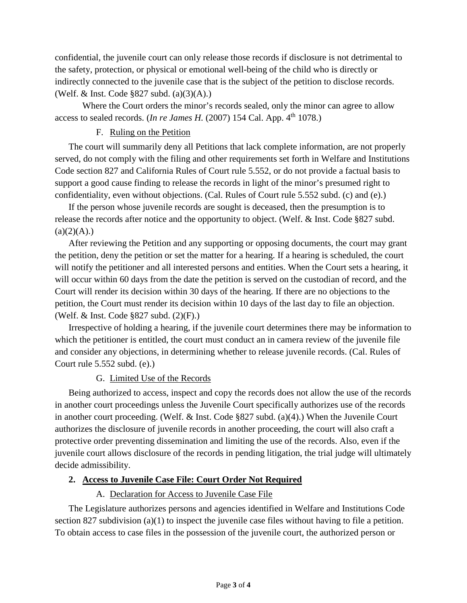confidential, the juvenile court can only release those records if disclosure is not detrimental to the safety, protection, or physical or emotional well-being of the child who is directly or indirectly connected to the juvenile case that is the subject of the petition to disclose records. (Welf. & Inst. Code §827 subd. (a)(3)(A).)

Where the Court orders the minor's records sealed, only the minor can agree to allow access to sealed records. (*In re James H.* (2007) 154 Cal. App. 4th 1078.)

## F. Ruling on the Petition

The court will summarily deny all Petitions that lack complete information, are not properly served, do not comply with the filing and other requirements set forth in Welfare and Institutions Code section 827 and California Rules of Court rule 5.552, or do not provide a factual basis to support a good cause finding to release the records in light of the minor's presumed right to confidentiality, even without objections. (Cal. Rules of Court rule 5.552 subd. (c) and (e).)

If the person whose juvenile records are sought is deceased, then the presumption is to release the records after notice and the opportunity to object. (Welf. & Inst. Code §827 subd.  $(a)(2)(A)$ .)

After reviewing the Petition and any supporting or opposing documents, the court may grant the petition, deny the petition or set the matter for a hearing. If a hearing is scheduled, the court will notify the petitioner and all interested persons and entities. When the Court sets a hearing, it will occur within 60 days from the date the petition is served on the custodian of record, and the Court will render its decision within 30 days of the hearing. If there are no objections to the petition, the Court must render its decision within 10 days of the last day to file an objection. (Welf. & Inst. Code §827 subd. (2)(F).)

Irrespective of holding a hearing, if the juvenile court determines there may be information to which the petitioner is entitled, the court must conduct an in camera review of the juvenile file and consider any objections, in determining whether to release juvenile records. (Cal. Rules of Court rule 5.552 subd. (e).)

## G. Limited Use of the Records

Being authorized to access, inspect and copy the records does not allow the use of the records in another court proceedings unless the Juvenile Court specifically authorizes use of the records in another court proceeding. (Welf. & Inst. Code §827 subd. (a)(4).) When the Juvenile Court authorizes the disclosure of juvenile records in another proceeding, the court will also craft a protective order preventing dissemination and limiting the use of the records. Also, even if the juvenile court allows disclosure of the records in pending litigation, the trial judge will ultimately decide admissibility.

## **2. Access to Juvenile Case File: Court Order Not Required**

## A. Declaration for Access to Juvenile Case File

The Legislature authorizes persons and agencies identified in Welfare and Institutions Code section 827 subdivision (a)(1) to inspect the juvenile case files without having to file a petition. To obtain access to case files in the possession of the juvenile court, the authorized person or